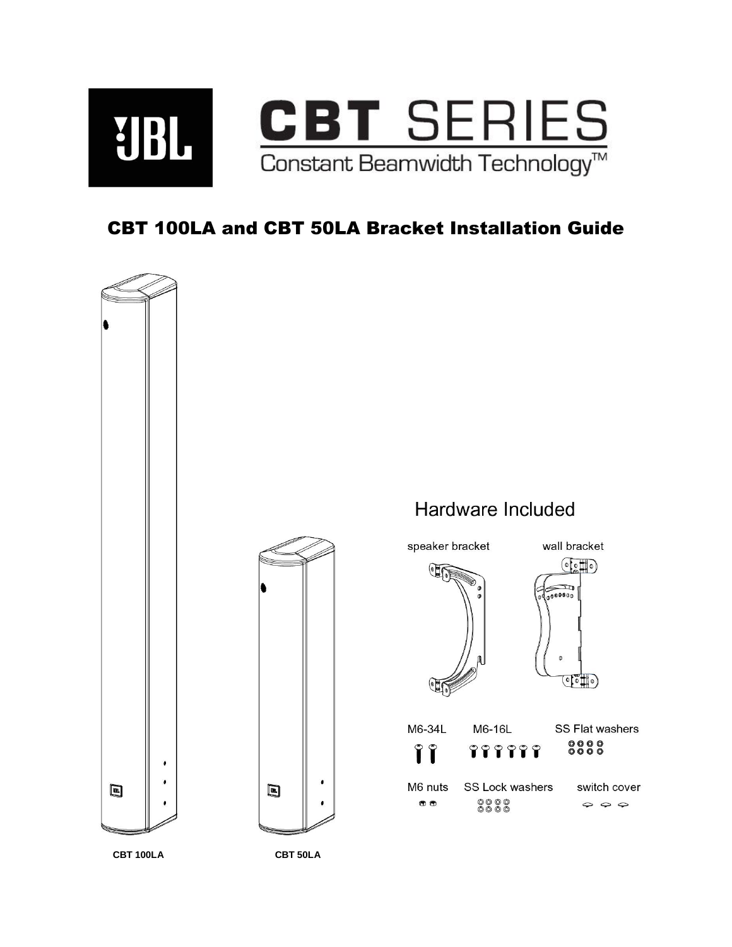

## CBT 100LA and CBT 50LA Bracket Installation Guide

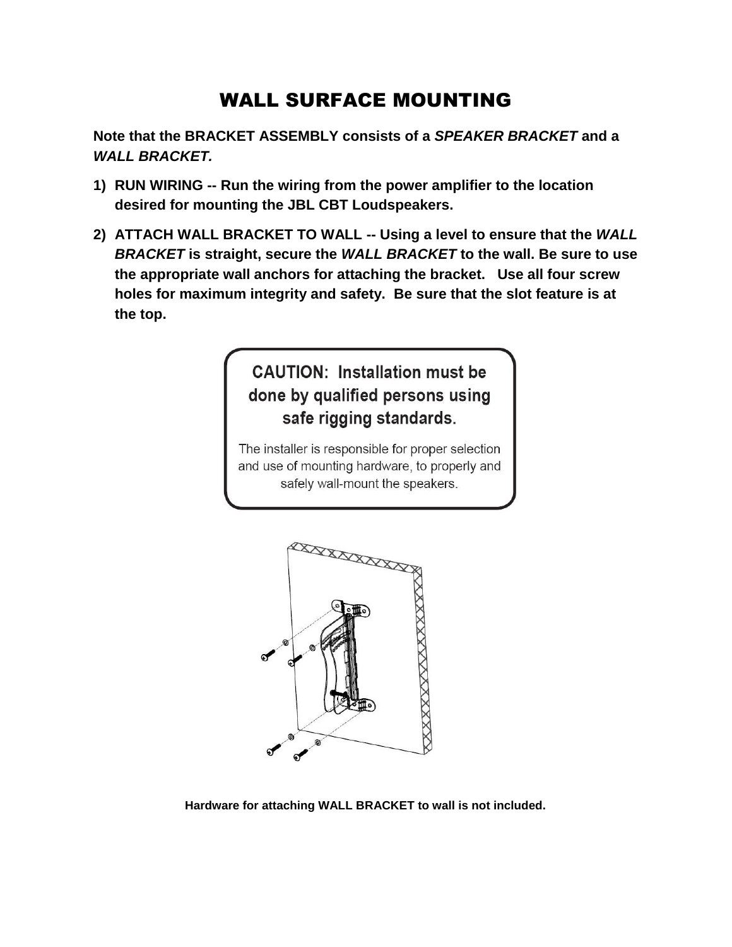## WALL SURFACE MOUNTING

**Note that the BRACKET ASSEMBLY consists of a** *SPEAKER BRACKET* **and a**  *WALL BRACKET.* 

- **1) RUN WIRING -- Run the wiring from the power amplifier to the location desired for mounting the JBL CBT Loudspeakers.**
- **2) ATTACH WALL BRACKET TO WALL -- Using a level to ensure that the** *WALL BRACKET* **is straight, secure the** *WALL BRACKET* **to the wall. Be sure to use the appropriate wall anchors for attaching the bracket. Use all four screw holes for maximum integrity and safety. Be sure that the slot feature is at the top.**

## **CAUTION: Installation must be** done by qualified persons using safe rigging standards.

The installer is responsible for proper selection and use of mounting hardware, to properly and safely wall-mount the speakers.



**Hardware for attaching WALL BRACKET to wall is not included.**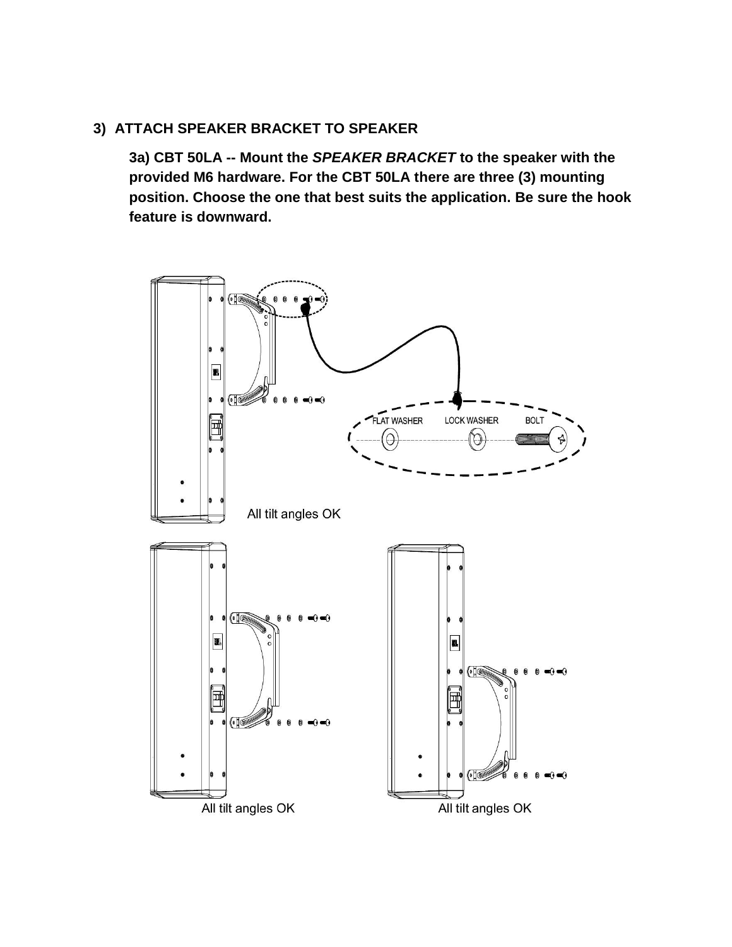## **3) ATTACH SPEAKER BRACKET TO SPEAKER**

**3a) CBT 50LA -- Mount the** *SPEAKER BRACKET* **to the speaker with the provided M6 hardware. For the CBT 50LA there are three (3) mounting position. Choose the one that best suits the application. Be sure the hook feature is downward.**

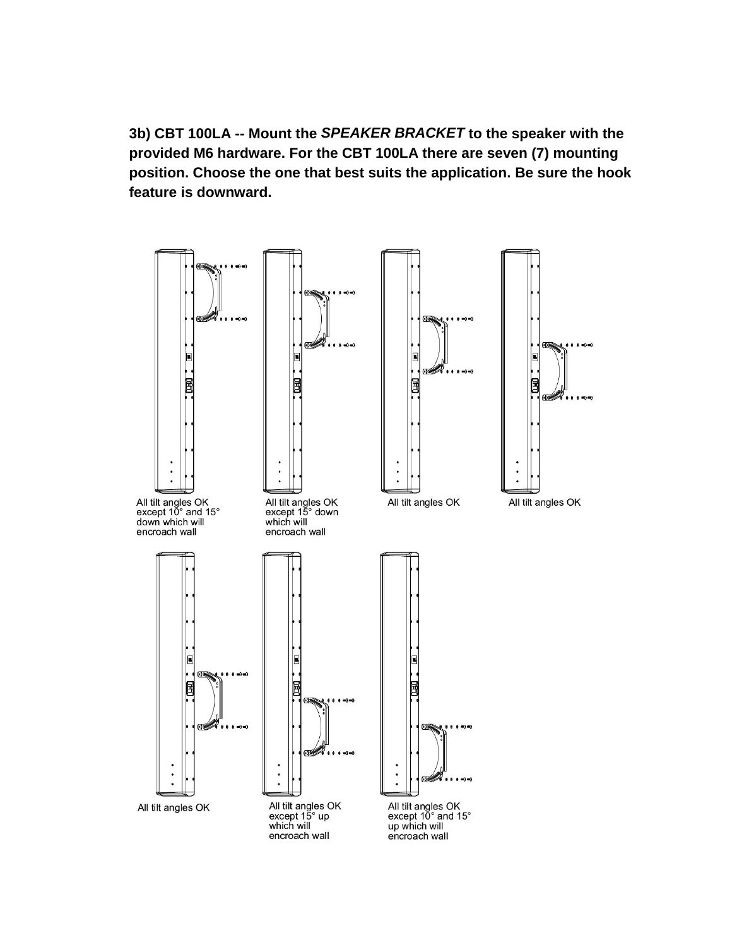**3b) CBT 100LA -- Mount the** *SPEAKER BRACKET* **to the speaker with the provided M6 hardware. For the CBT 100LA there are seven (7) mounting position. Choose the one that best suits the application. Be sure the hook feature is downward.**

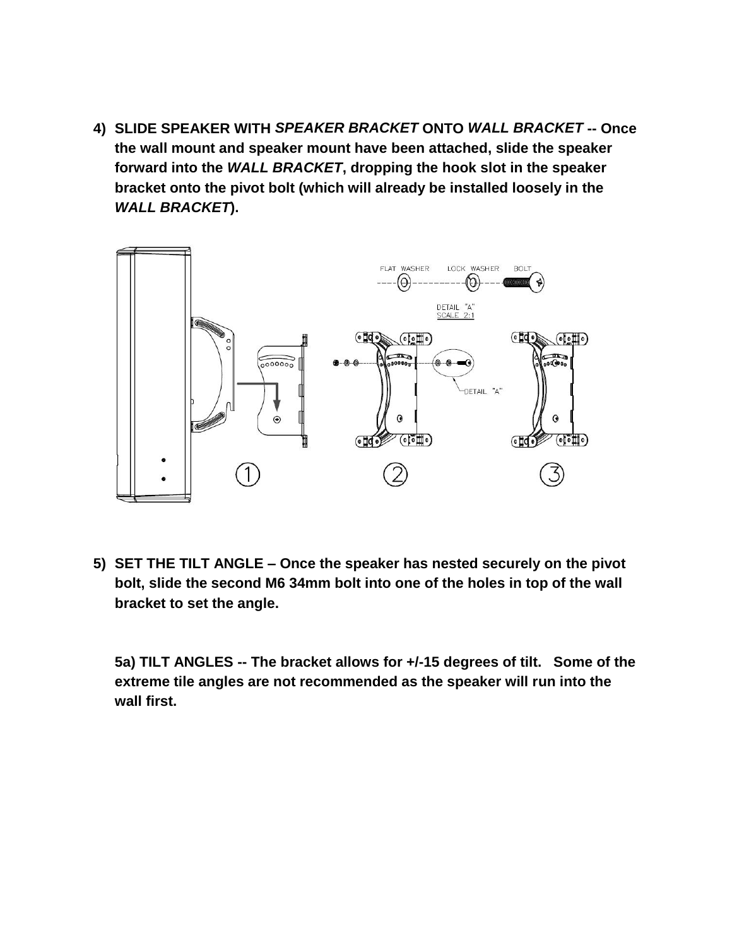**4) SLIDE SPEAKER WITH** *SPEAKER BRACKET* **ONTO** *WALL BRACKET* **-- Once the wall mount and speaker mount have been attached, slide the speaker forward into the** *WALL BRACKET***, dropping the hook slot in the speaker bracket onto the pivot bolt (which will already be installed loosely in the**  *WALL BRACKET***).**



**5) SET THE TILT ANGLE – Once the speaker has nested securely on the pivot bolt, slide the second M6 34mm bolt into one of the holes in top of the wall bracket to set the angle.** 

**5a) TILT ANGLES -- The bracket allows for +/-15 degrees of tilt. Some of the extreme tile angles are not recommended as the speaker will run into the wall first.**